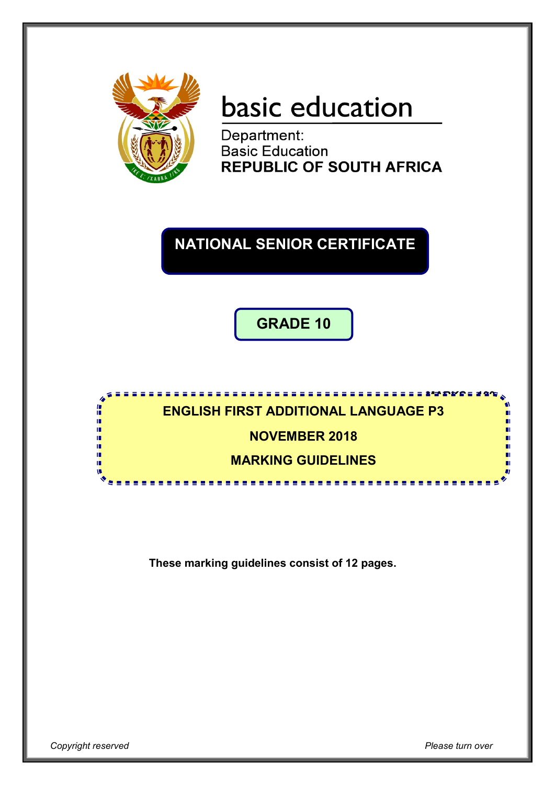

# basic education

Department: **Basic Education REPUBLIC OF SOUTH AFRICA** 

# **NATIONAL SENIOR CERTIFICATE**

**GRADE 10**

#### **MARKS: 100 ENGLISH FIRST ADDITIONAL LANGUAGE P3**

### **NOVEMBER 2018**

## **MARKING GUIDELINES**

<u>.....................</u>

**These marking guidelines consist of 12 pages.**

I. I. т т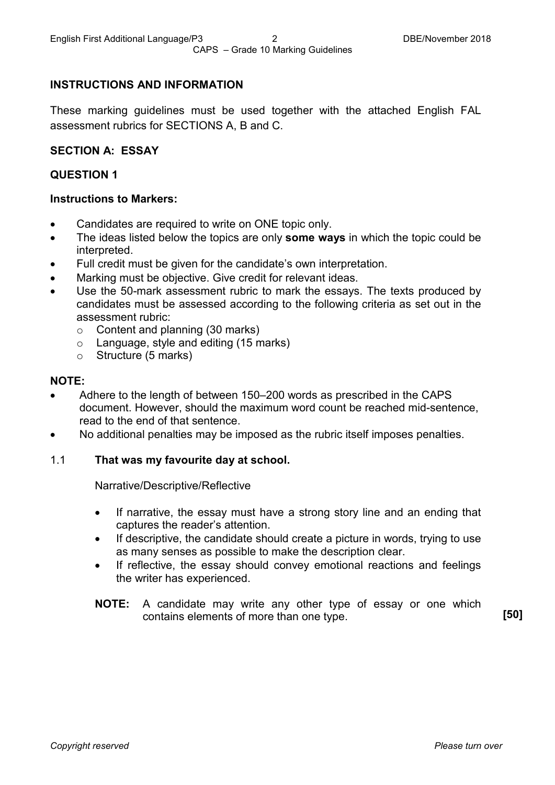#### **INSTRUCTIONS AND INFORMATION**

These marking guidelines must be used together with the attached English FAL assessment rubrics for SECTIONS A, B and C.

#### **SECTION A: ESSAY**

#### **QUESTION 1**

#### **Instructions to Markers:**

- Candidates are required to write on ONE topic only.
- The ideas listed below the topics are only **some ways** in which the topic could be interpreted.
- Full credit must be given for the candidate's own interpretation.
- Marking must be objective. Give credit for relevant ideas.
- Use the 50-mark assessment rubric to mark the essays. The texts produced by candidates must be assessed according to the following criteria as set out in the assessment rubric:
	- $\circ$  Content and planning (30 marks)
	- o Language, style and editing (15 marks)
	- o Structure (5 marks)

#### **NOTE:**

- Adhere to the length of between 150–200 words as prescribed in the CAPS document. However, should the maximum word count be reached mid-sentence, read to the end of that sentence.
- No additional penalties may be imposed as the rubric itself imposes penalties.

#### 1.1 **That was my favourite day at school.**

Narrative/Descriptive/Reflective

- If narrative, the essay must have a strong story line and an ending that captures the reader's attention.
- If descriptive, the candidate should create a picture in words, trying to use as many senses as possible to make the description clear.
- If reflective, the essay should convey emotional reactions and feelings the writer has experienced.
- **NOTE:** A candidate may write any other type of essay or one which contains elements of more than one type. **[50]**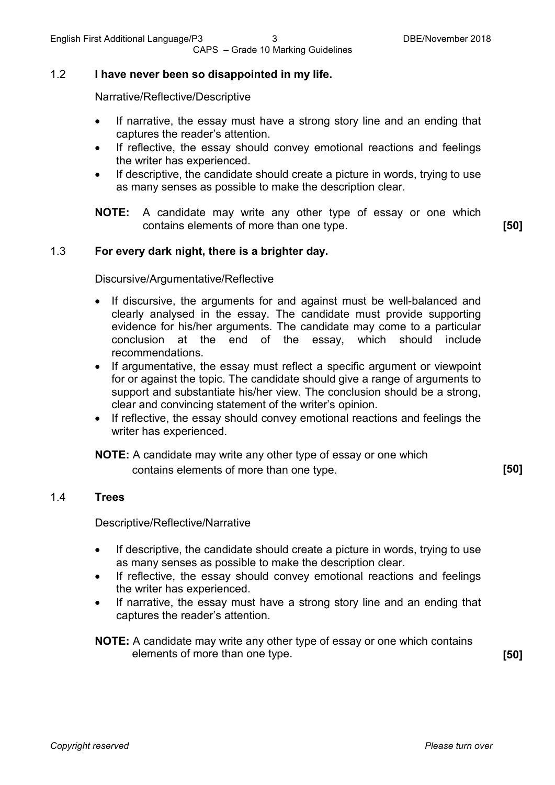#### 1.2 **I have never been so disappointed in my life.**

Narrative/Reflective/Descriptive

- If narrative, the essay must have a strong story line and an ending that captures the reader's attention.
- If reflective, the essay should convey emotional reactions and feelings the writer has experienced.
- If descriptive, the candidate should create a picture in words, trying to use as many senses as possible to make the description clear.

**NOTE:** A candidate may write any other type of essay or one which contains elements of more than one type. **[50]**

1.3 **For every dark night, there is a brighter day.**

Discursive/Argumentative/Reflective

- If discursive, the arguments for and against must be well-balanced and clearly analysed in the essay. The candidate must provide supporting evidence for his/her arguments. The candidate may come to a particular conclusion at the end of the essay, which should include recommendations.
- If argumentative, the essay must reflect a specific argument or viewpoint for or against the topic. The candidate should give a range of arguments to support and substantiate his/her view. The conclusion should be a strong, clear and convincing statement of the writer's opinion.
- If reflective, the essay should convey emotional reactions and feelings the writer has experienced.

**NOTE:** A candidate may write any other type of essay or one which contains elements of more than one type. **[50]**

#### 1.4 **Trees**

Descriptive/Reflective/Narrative

- If descriptive, the candidate should create a picture in words, trying to use as many senses as possible to make the description clear.
- If reflective, the essay should convey emotional reactions and feelings the writer has experienced.
- If narrative, the essay must have a strong story line and an ending that captures the reader's attention.

**NOTE:** A candidate may write any other type of essay or one which contains elements of more than one type. **[50]**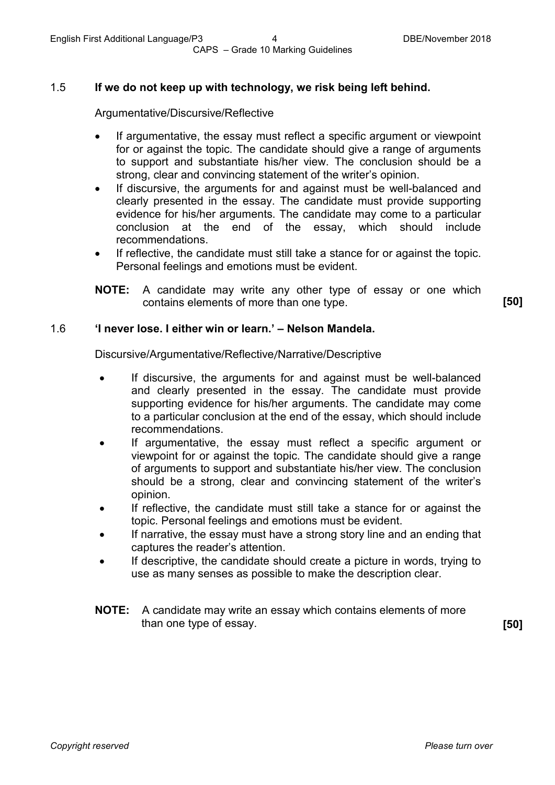#### 1.5 **If we do not keep up with technology, we risk being left behind.**

Argumentative/Discursive/Reflective

- If argumentative, the essay must reflect a specific argument or viewpoint for or against the topic. The candidate should give a range of arguments to support and substantiate his/her view. The conclusion should be a strong, clear and convincing statement of the writer's opinion.
- If discursive, the arguments for and against must be well-balanced and clearly presented in the essay. The candidate must provide supporting evidence for his/her arguments. The candidate may come to a particular conclusion at the end of the essay, which should include recommendations.
- If reflective, the candidate must still take a stance for or against the topic. Personal feelings and emotions must be evident.
- **NOTE:** A candidate may write any other type of essay or one which contains elements of more than one type. **[50]**

#### 1.6 **'I never lose. I either win or learn.' – Nelson Mandela.**

Discursive/Argumentative/Reflective/Narrative/Descriptive

- If discursive, the arguments for and against must be well-balanced and clearly presented in the essay. The candidate must provide supporting evidence for his/her arguments. The candidate may come to a particular conclusion at the end of the essay, which should include recommendations.
- If argumentative, the essay must reflect a specific argument or viewpoint for or against the topic. The candidate should give a range of arguments to support and substantiate his/her view. The conclusion should be a strong, clear and convincing statement of the writer's opinion.
- If reflective, the candidate must still take a stance for or against the topic. Personal feelings and emotions must be evident.
- If narrative, the essay must have a strong story line and an ending that captures the reader's attention.
- If descriptive, the candidate should create a picture in words, trying to use as many senses as possible to make the description clear.
- **NOTE:** A candidate may write an essay which contains elements of more than one type of essay. **[50]**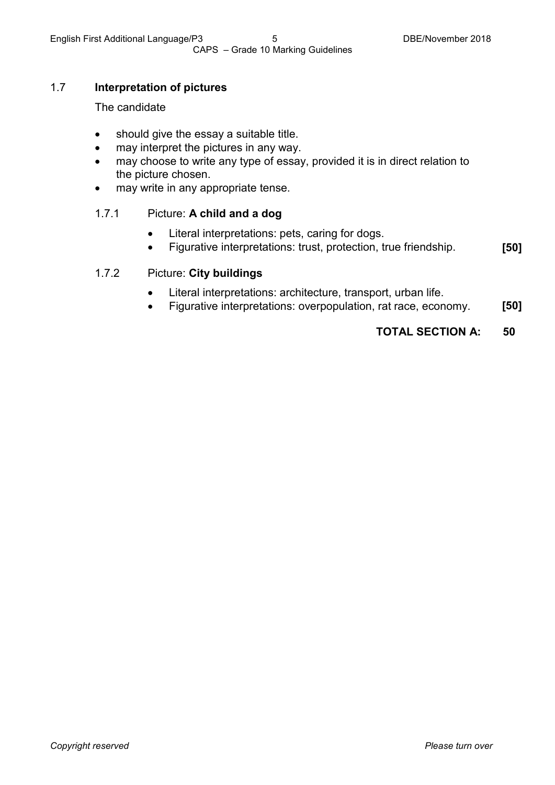#### 1.7 **Interpretation of pictures**

#### The candidate

- should give the essay a suitable title.
- may interpret the pictures in any way.
- may choose to write any type of essay, provided it is in direct relation to the picture chosen.
- may write in any appropriate tense.

#### 1.7.1 Picture: **A child and a dog**

- Literal interpretations: pets, caring for dogs.
- Figurative interpretations: trust, protection, true friendship. **[50]**

#### 1.7.2 Picture: **City buildings**

- Literal interpretations: architecture, transport, urban life.
- Figurative interpretations: overpopulation, rat race, economy. **[50]**

#### **TOTAL SECTION A: 50**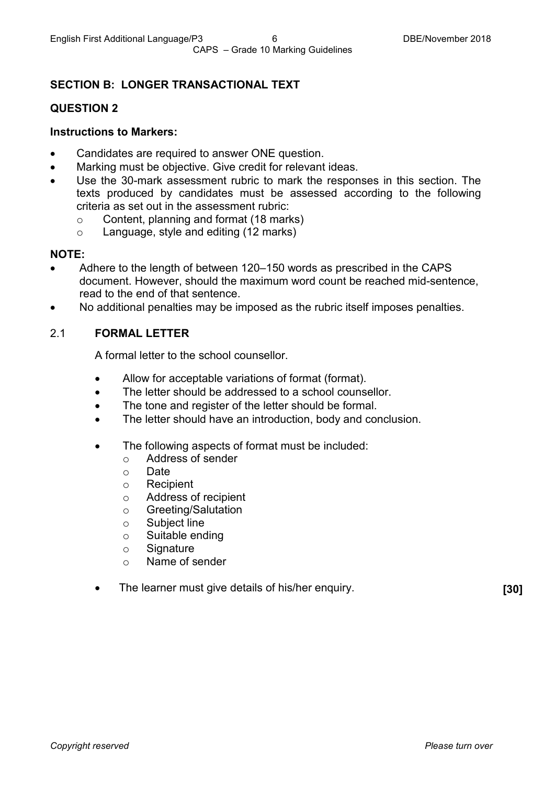#### **SECTION B: LONGER TRANSACTIONAL TEXT**

#### **QUESTION 2**

#### **Instructions to Markers:**

- Candidates are required to answer ONE question.
- Marking must be objective. Give credit for relevant ideas.
- Use the 30-mark assessment rubric to mark the responses in this section. The texts produced by candidates must be assessed according to the following criteria as set out in the assessment rubric:
	- $\circ$  Content, planning and format (18 marks)<br> $\circ$  Language, style and editing (12 marks)
	- Language, style and editing (12 marks)

#### **NOTE:**

- Adhere to the length of between 120–150 words as prescribed in the CAPS document. However, should the maximum word count be reached mid-sentence, read to the end of that sentence.
- No additional penalties may be imposed as the rubric itself imposes penalties.

#### 2.1 **FORMAL LETTER**

A formal letter to the school counsellor.

- Allow for acceptable variations of format (format).
- The letter should be addressed to a school counsellor.
- The tone and register of the letter should be formal.
- The letter should have an introduction, body and conclusion.
- The following aspects of format must be included:
	- Address of sender<br>○ Date
	- o Date<br>o Recir
	- **Recipient**
	- o Address of recipient
	- o Greeting/Salutation
	- o Subject line
	- o Suitable ending
	- $\circ$  Signature
	- o Name of sender
- •The learner must give details of his/her enquiry. **[30]**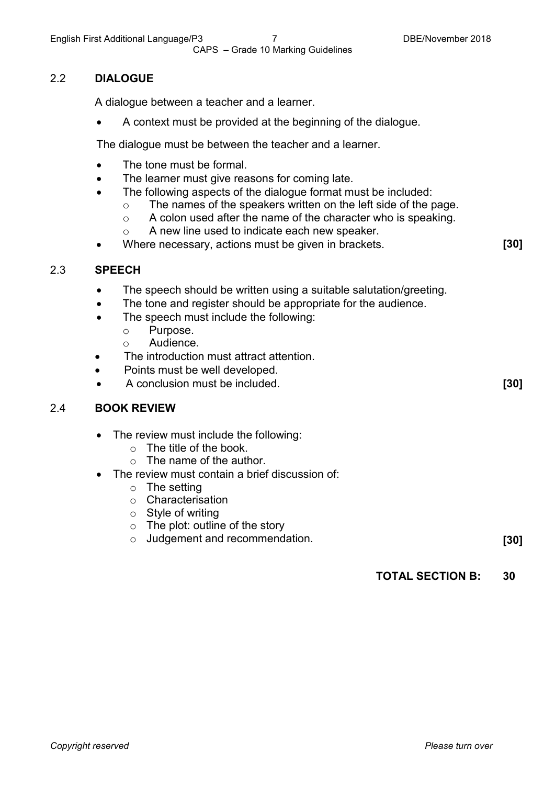#### 2.2 **DIALOGUE**

A dialogue between a teacher and a learner.

• A context must be provided at the beginning of the dialogue.

The dialogue must be between the teacher and a learner.

- The tone must be formal.
- The learner must give reasons for coming late.
- The following aspects of the dialogue format must be included:
	- $\circ$  The names of the speakers written on the left side of the page.<br>  $\circ$  A colon used after the name of the character who is speaking.
	- $\circ$  A colon used after the name of the character who is speaking.<br>  $\circ$  A new line used to indicate each new speaker.
	- A new line used to indicate each new speaker.
- Where necessary, actions must be given in brackets. **[30]**

#### 2.3 **SPEECH**

- The speech should be written using a suitable salutation/greeting.
- The tone and register should be appropriate for the audience.
- The speech must include the following:
	- o Purpose.<br>
	o Audience
	- Audience.
- The introduction must attract attention.
- Points must be well developed.
- A conclusion must be included. **[30]**

#### 2.4 **BOOK REVIEW**

- The review must include the following:
	- o The title of the book.
	- $\circ$  The name of the author.
- The review must contain a brief discussion of:
	- $\circ$  The setting
	- o Characterisation
	- $\circ$  Style of writing
	- $\circ$  The plot: outline of the story  $\circ$  Judgement and recommend:
	- dudgement and recommendation. **[30]** Judgement and recommendation.

**TOTAL SECTION B: 30**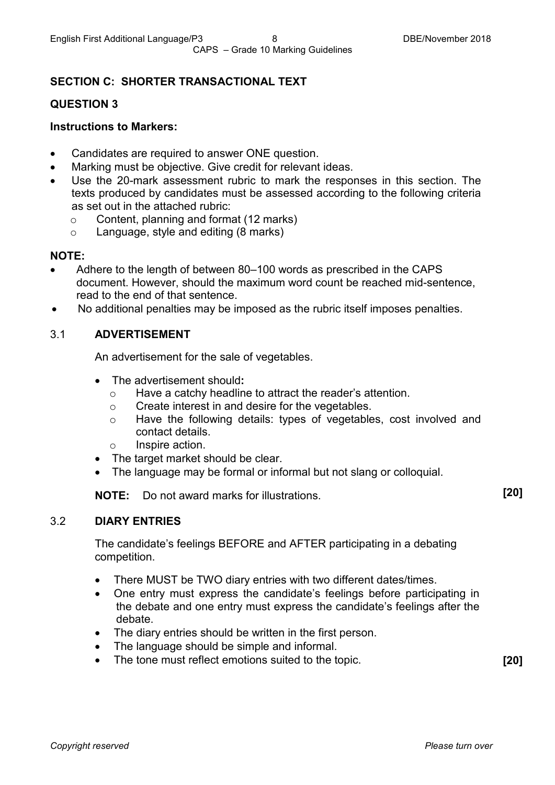#### **SECTION C: SHORTER TRANSACTIONAL TEXT**

#### **QUESTION 3**

#### **Instructions to Markers:**

- Candidates are required to answer ONE question.
- Marking must be objective. Give credit for relevant ideas.
- Use the 20-mark assessment rubric to mark the responses in this section. The texts produced by candidates must be assessed according to the following criteria as set out in the attached rubric:
	- $\circ$  Content, planning and format (12 marks)<br> $\circ$  Language, style and editing (8 marks)
	- Language, style and editing (8 marks)

#### **NOTE:**

- Adhere to the length of between 80–100 words as prescribed in the CAPS document. However, should the maximum word count be reached mid-sentence, read to the end of that sentence.
- No additional penalties may be imposed as the rubric itself imposes penalties.

#### 3.1 **ADVERTISEMENT**

An advertisement for the sale of vegetables.

- The advertisement should**:**
	- $\circ$  Have a catchy headline to attract the reader's attention.<br>  $\circ$  Create interest in and desire for the vegetables.
	- Create interest in and desire for the vegetables.
	- o Have the following details: types of vegetables, cost involved and contact details.
	- o Inspire action.
- The target market should be clear.
- The language may be formal or informal but not slang or colloquial.

**NOTE:** Do not award marks for illustrations. **[20]**

#### 3.2 **DIARY ENTRIES**

The candidate's feelings BEFORE and AFTER participating in a debating competition.

- There MUST be TWO diary entries with two different dates/times.
- One entry must express the candidate's feelings before participating in the debate and one entry must express the candidate's feelings after the debate.
- The diary entries should be written in the first person.
- The language should be simple and informal.
- The tone must reflect emotions suited to the topic. **[20]**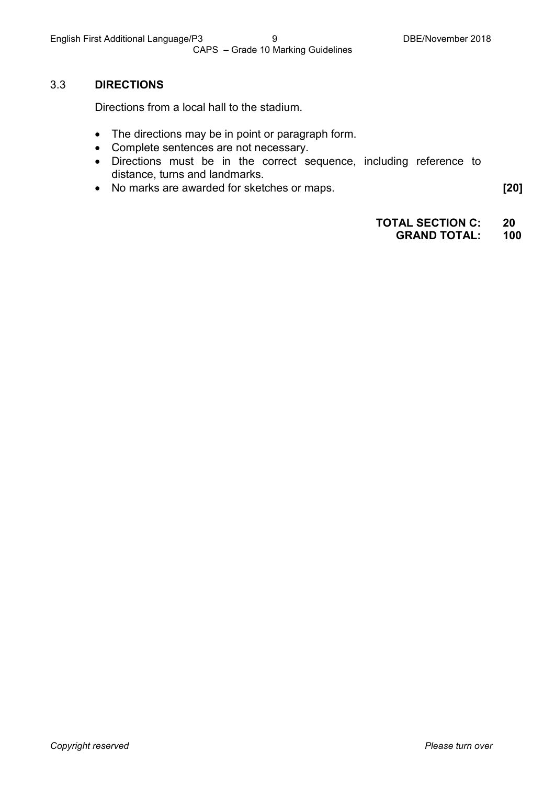#### 3.3 **DIRECTIONS**

Directions from a local hall to the stadium.

- The directions may be in point or paragraph form.
- Complete sentences are not necessary.
- Directions must be in the correct sequence, including reference to distance, turns and landmarks.
- No marks are awarded for sketches or maps. **[20]**

**TOTAL SECTION C: 20**

#### **GRAND TOTAL: 100**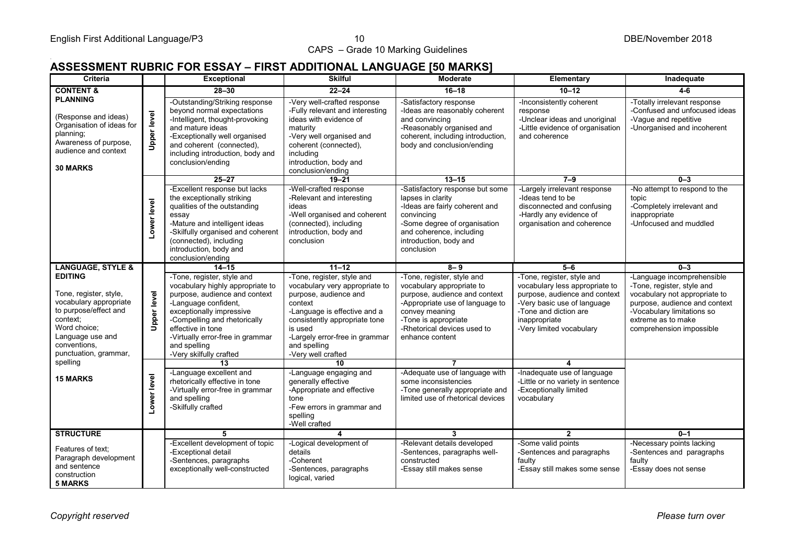# . **ASSESSMENT RUBRIC FOR ESSAY – FIRST ADDITIONAL LANGUAGE [50 MARKS]**

| Criteria                                                                                                                                                                             |                    | <b>Exceptional</b>                                                                                                                                                                                                                                                                      | <b>Skilful</b>                                                                                                                                                                                                                                       | <b>Moderate</b>                                                                                                                                                                                                         | Elementary                                                                                                                                                                                         | Inadequate                                                                                                                                                                                                 |
|--------------------------------------------------------------------------------------------------------------------------------------------------------------------------------------|--------------------|-----------------------------------------------------------------------------------------------------------------------------------------------------------------------------------------------------------------------------------------------------------------------------------------|------------------------------------------------------------------------------------------------------------------------------------------------------------------------------------------------------------------------------------------------------|-------------------------------------------------------------------------------------------------------------------------------------------------------------------------------------------------------------------------|----------------------------------------------------------------------------------------------------------------------------------------------------------------------------------------------------|------------------------------------------------------------------------------------------------------------------------------------------------------------------------------------------------------------|
| <b>CONTENT &amp;</b>                                                                                                                                                                 |                    | $28 - 30$                                                                                                                                                                                                                                                                               | $22 - 24$                                                                                                                                                                                                                                            | $16 - 18$                                                                                                                                                                                                               | $10 - 12$                                                                                                                                                                                          | $4 - 6$                                                                                                                                                                                                    |
| <b>PLANNING</b><br>(Response and ideas)<br>Organisation of ideas for<br>planning;<br>Awareness of purpose,<br>audience and context<br><b>30 MARKS</b>                                | <b>Upper level</b> | -Outstanding/Striking response<br>beyond normal expectations<br>-Intelligent, thought-provoking<br>and mature ideas<br>-Exceptionally well organised<br>and coherent (connected).<br>including introduction, body and<br>conclusion/ending                                              | -Very well-crafted response<br>-Fully relevant and interesting<br>ideas with evidence of<br>maturity<br>-Very well organised and<br>coherent (connected),<br>including<br>introduction, body and<br>conclusion/ending                                | -Satisfactory response<br>-Ideas are reasonably coherent<br>and convincing<br>-Reasonably organised and<br>coherent, including introduction,<br>body and conclusion/ending                                              | -Inconsistently coherent<br>response<br>-Unclear ideas and unoriginal<br>-Little evidence of organisation<br>and coherence                                                                         | -Totally irrelevant response<br>-Confused and unfocused ideas<br>-Vague and repetitive<br>-Unorganised and incoherent                                                                                      |
|                                                                                                                                                                                      |                    | $25 - 27$                                                                                                                                                                                                                                                                               | $19 - 21$                                                                                                                                                                                                                                            | $13 - 15$                                                                                                                                                                                                               | $7 - 9$                                                                                                                                                                                            | $0 - 3$                                                                                                                                                                                                    |
|                                                                                                                                                                                      | Lower level        | -Excellent response but lacks<br>the exceptionally striking<br>qualities of the outstanding<br>essay<br>-Mature and intelligent ideas<br>-Skilfully organised and coherent<br>(connected), including<br>introduction, body and<br>conclusion/ending                                     | -Well-crafted response<br>-Relevant and interesting<br>ideas<br>-Well organised and coherent<br>(connected), including<br>introduction, body and<br>conclusion                                                                                       | -Satisfactory response but some<br>lapses in clarity<br>-Ideas are fairly coherent and<br>convincing<br>-Some degree of organisation<br>and coherence, including<br>introduction, body and<br>conclusion                | -Largely irrelevant response<br>-Ideas tend to be<br>disconnected and confusing<br>-Hardly any evidence of<br>organisation and coherence                                                           | -No attempt to respond to the<br>topic<br>-Completely irrelevant and<br>inappropriate<br>-Unfocused and muddled                                                                                            |
| <b>LANGUAGE, STYLE &amp;</b>                                                                                                                                                         |                    | $14 - 15$                                                                                                                                                                                                                                                                               | $11 - 12$                                                                                                                                                                                                                                            | $8 - 9$                                                                                                                                                                                                                 | $5 - 6$                                                                                                                                                                                            | $0 - 3$                                                                                                                                                                                                    |
| <b>EDITING</b><br>Tone, register, style,<br>vocabulary appropriate<br>to purpose/effect and<br>context:<br>Word choice;<br>Language use and<br>conventions,<br>punctuation, grammar, | <b>Upper level</b> | -Tone, register, style and<br>vocabulary highly appropriate to<br>purpose, audience and context<br>-Language confident,<br>exceptionally impressive<br>-Compelling and rhetorically<br>effective in tone<br>-Virtually error-free in grammar<br>and spelling<br>-Very skilfully crafted | -Tone, register, style and<br>vocabulary very appropriate to<br>purpose, audience and<br>context<br>-Language is effective and a<br>consistently appropriate tone<br>is used<br>-Largely error-free in grammar<br>and spelling<br>-Very well crafted | -Tone, register, style and<br>vocabulary appropriate to<br>purpose, audience and context<br>-Appropriate use of language to<br>convey meaning<br>-Tone is appropriate<br>-Rhetorical devices used to<br>enhance content | -Tone, register, style and<br>vocabulary less appropriate to<br>purpose, audience and context<br>-Very basic use of language<br>-Tone and diction are<br>inappropriate<br>-Very limited vocabulary | -Language incomprehensible<br>-Tone, register, style and<br>vocabulary not appropriate to<br>purpose, audience and context<br>-Vocabulary limitations so<br>extreme as to make<br>comprehension impossible |
| spelling                                                                                                                                                                             |                    | 13                                                                                                                                                                                                                                                                                      | 10                                                                                                                                                                                                                                                   |                                                                                                                                                                                                                         | 4                                                                                                                                                                                                  |                                                                                                                                                                                                            |
| <b>15 MARKS</b>                                                                                                                                                                      | Lower level        | -Language excellent and<br>rhetorically effective in tone<br>-Virtually error-free in grammar<br>and spelling<br>-Skilfully crafted                                                                                                                                                     | -Language engaging and<br>generally effective<br>-Appropriate and effective<br>tone<br>-Few errors in grammar and<br>spelling<br>-Well crafted                                                                                                       | -Adequate use of language with<br>some inconsistencies<br>-Tone generally appropriate and<br>limited use of rhetorical devices                                                                                          | -Inadequate use of language<br>-Little or no variety in sentence<br>-Exceptionally limited<br>vocabulary                                                                                           |                                                                                                                                                                                                            |
| <b>STRUCTURE</b>                                                                                                                                                                     |                    | 5.                                                                                                                                                                                                                                                                                      | $\overline{\mathbf{A}}$                                                                                                                                                                                                                              | 3                                                                                                                                                                                                                       |                                                                                                                                                                                                    | $0 - 1$                                                                                                                                                                                                    |
| Features of text:<br>Paragraph development<br>and sentence<br>construction<br><b>5 MARKS</b>                                                                                         |                    | -Excellent development of topic<br>-Exceptional detail<br>-Sentences, paragraphs<br>exceptionally well-constructed                                                                                                                                                                      | -Logical development of<br>details<br>-Coherent<br>-Sentences, paragraphs<br>logical, varied                                                                                                                                                         | -Relevant details developed<br>-Sentences, paragraphs well-<br>constructed<br>-Essay still makes sense                                                                                                                  | -Some valid points<br>-Sentences and paragraphs<br>faulty<br>-Essay still makes some sense                                                                                                         | -Necessary points lacking<br>-Sentences and paragraphs<br>faulty<br>-Essay does not sense                                                                                                                  |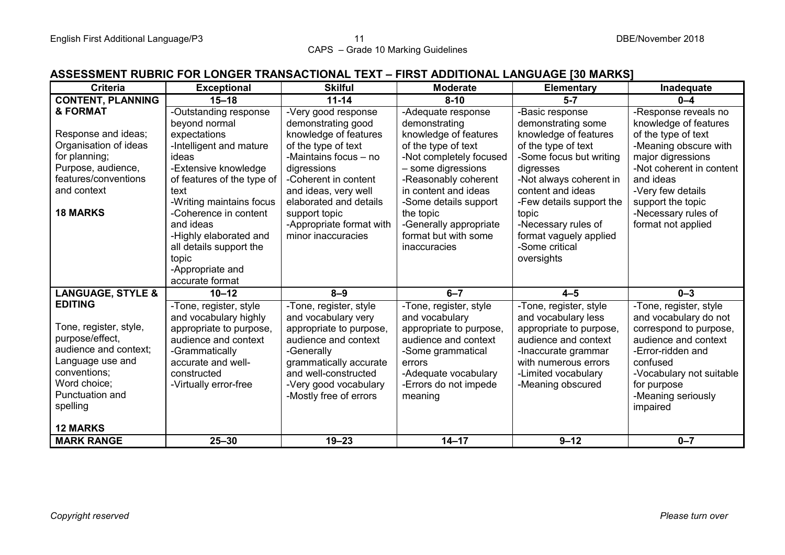#### **ASSESSMENT RUBRIC FOR LONGER TRANSACTIONAL TEXT – FIRST ADDITIONAL LANGUAGE [30 MARKS]**

| <b>Criteria</b>              | <b>Exceptional</b>         | <b>Skilful</b>           | <b>Moderate</b>         | <b>Elementary</b>        | Inadequate               |
|------------------------------|----------------------------|--------------------------|-------------------------|--------------------------|--------------------------|
| <b>CONTENT, PLANNING</b>     | $15 - 18$                  | $11 - 14$                | $8 - 10$                | $5 - 7$                  | $0 - 4$                  |
| & FORMAT                     | -Outstanding response      | -Very good response      | -Adequate response      | -Basic response          | -Response reveals no     |
|                              | beyond normal              | demonstrating good       | demonstrating           | demonstrating some       | knowledge of features    |
| Response and ideas;          | expectations               | knowledge of features    | knowledge of features   | knowledge of features    | of the type of text      |
| Organisation of ideas        | -Intelligent and mature    | of the type of text      | of the type of text     | of the type of text      | -Meaning obscure with    |
| for planning;                | ideas                      | -Maintains focus - no    | -Not completely focused | -Some focus but writing  | major digressions        |
| Purpose, audience,           | -Extensive knowledge       | digressions              | - some digressions      | digresses                | -Not coherent in content |
| features/conventions         | of features of the type of | -Coherent in content     | -Reasonably coherent    | -Not always coherent in  | and ideas                |
| and context                  | text                       | and ideas, very well     | in content and ideas    | content and ideas        | -Very few details        |
|                              | -Writing maintains focus   | elaborated and details   | -Some details support   | -Few details support the | support the topic        |
| <b>18 MARKS</b>              | -Coherence in content      | support topic            | the topic               | topic                    | -Necessary rules of      |
|                              | and ideas                  | -Appropriate format with | -Generally appropriate  | -Necessary rules of      | format not applied       |
|                              | -Highly elaborated and     | minor inaccuracies       | format but with some    | format vaguely applied   |                          |
|                              | all details support the    |                          | inaccuracies            | -Some critical           |                          |
|                              | topic                      |                          |                         | oversights               |                          |
|                              | -Appropriate and           |                          |                         |                          |                          |
|                              | accurate format            |                          |                         |                          |                          |
| <b>LANGUAGE, STYLE &amp;</b> | $10 - 12$                  | $8 - 9$                  | $6 - 7$                 | $4 - 5$                  | $0 - 3$                  |
| <b>EDITING</b>               | -Tone, register, style     | -Tone, register, style   | -Tone, register, style  | -Tone, register, style   | -Tone, register, style   |
|                              | and vocabulary highly      | and vocabulary very      | and vocabulary          | and vocabulary less      | and vocabulary do not    |
| Tone, register, style,       | appropriate to purpose,    | appropriate to purpose,  | appropriate to purpose, | appropriate to purpose,  | correspond to purpose,   |
| purpose/effect,              | audience and context       | audience and context     | audience and context    | audience and context     | audience and context     |
| audience and context;        | -Grammatically             | -Generally               | -Some grammatical       | -Inaccurate grammar      | -Error-ridden and        |
| Language use and             | accurate and well-         | grammatically accurate   | errors                  | with numerous errors     | confused                 |
| conventions:                 | constructed                | and well-constructed     | -Adequate vocabulary    | -Limited vocabulary      | -Vocabulary not suitable |
| Word choice;                 | -Virtually error-free      | -Very good vocabulary    | -Errors do not impede   | -Meaning obscured        | for purpose              |
| Punctuation and              |                            | -Mostly free of errors   | meaning                 |                          | -Meaning seriously       |
| spelling                     |                            |                          |                         |                          | impaired                 |
|                              |                            |                          |                         |                          |                          |
| <b>12 MARKS</b>              |                            |                          |                         |                          |                          |
| <b>MARK RANGE</b>            | $25 - 30$                  | $19 - 23$                | $14 - 17$               | $9 - 12$                 | $0 - 7$                  |